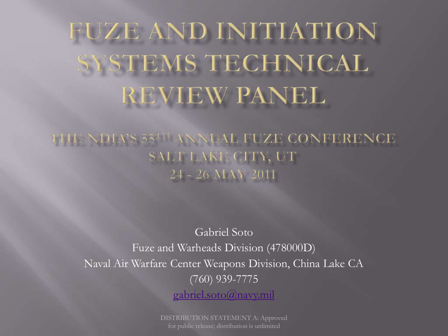# FUZE AND INITIATION SYSTEMS TECHNICAL REVIEW PANEL

THE NDIA'S 55TH ANNUAL FUZE CONFERENCE SALT LAKE CITY, UT 24 - 26 MAY 2011

Gabriel Soto Fuze and Warheads Division (478000D) Naval Air Warfare Center Weapons Division, China Lake CA (760) 939-7775 [gabriel.soto@navy.mil](mailto:Gabriel.soto@navy.mil)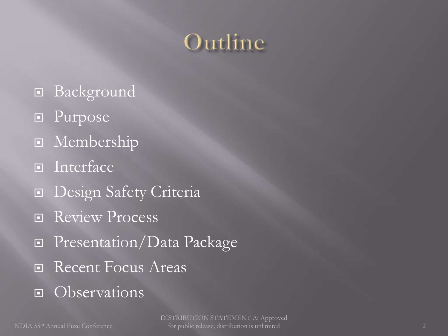### Outline

- Background
- **Purpose**
- **E** Membership
- **Interface**
- Design Safety Criteria
- Review Process
- **Presentation/Data Package**
- Recent Focus Areas
- Observations<sup>1</sup>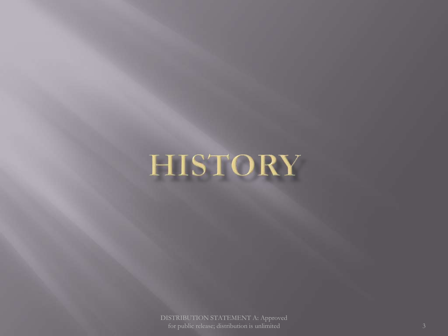# **HISTORY**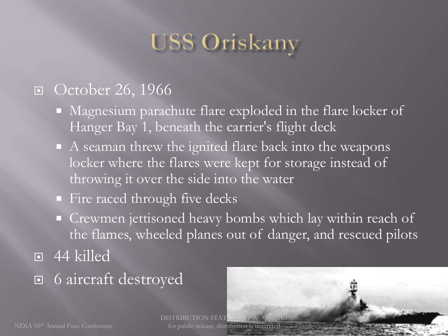## **USS Oriskany**

### □ October 26, 1966

- Magnesium parachute flare exploded in the flare locker of Hanger Bay 1, beneath the carrier's flight deck
- A seaman threw the ignited flare back into the weapons locker where the flares were kept for storage instead of throwing it over the side into the water
- Fire raced through five decks
- Crewmen jettisoned heavy bombs which lay within reach of the flames, wheeled planes out of danger, and rescued pilots
- $\overline{9}$  44 killed
- 6 aircraft destroyed

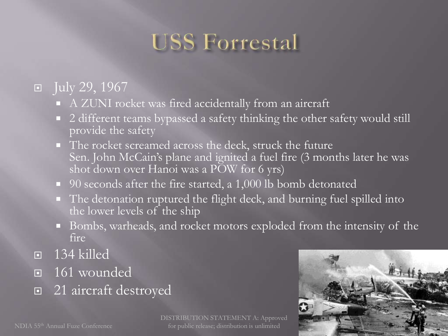## **USS Forrestal**

### $\boxed{9}$  July 29, 1967

- A ZUNI rocket was fired accidentally from an aircraft
- 2 different teams bypassed a safety thinking the other safety would still provide the safety
- The rocket screamed across the deck, struck the future Sen. John McCain's plane and ignited a fuel fire (3 months later he was shot down over Hanoi was a POW for 6 yrs)
- 90 seconds after the fire started, a 1,000 lb bomb detonated
- The detonation ruptured the flight deck, and burning fuel spilled into the lower levels of the ship
- Bombs, warheads, and rocket motors exploded from the intensity of the fire
- $\Box$  134 killed
- $\overline{161}$  wounded
- □ 21 aircraft destroyed

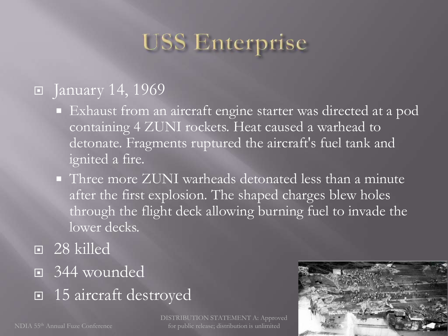### **USS Enterprise**

### **F** January 14, 1969

- Exhaust from an aircraft engine starter was directed at a pod containing 4 ZUNI rockets. Heat caused a warhead to detonate. Fragments ruptured the aircraft's fuel tank and ignited a fire.
- **Three more ZUNI warheads detonated less than a minute** after the first explosion. The shaped charges blew holes through the flight deck allowing burning fuel to invade the lower decks.
- 28 killed
- 344 wounded
- 15 aircraft destroyed

DISTRIBUTION STATEMENT A: Approved for public release; distribution is unlimited

6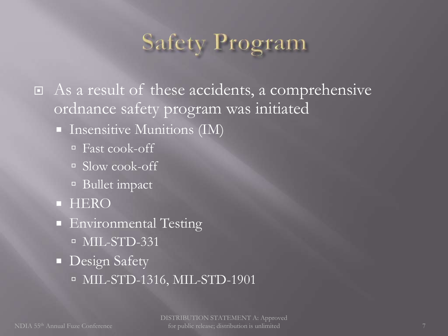## Safety Program

 As a result of these accidents, a comprehensive ordnance safety program was initiated

#### **Insensitive Munitions (IM)**

- Fast cook-off
- Slow cook-off
- Bullet impact
- **E** HERO
- **Environmental Testing**  $\overline{MIL-STD-331}$
- **Design Safety** 
	- <sup>D</sup> MIL-STD-1316, MIL-STD-1901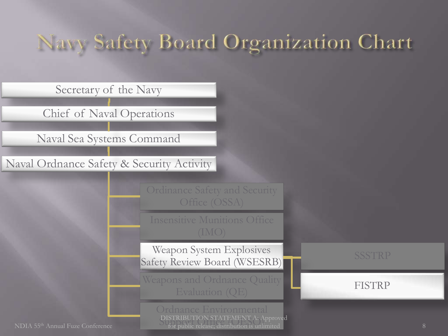### Navy Safety Board Organization Chart

Secretary of the Navy

Chief of Naval Operations

Naval Sea Systems Command

Naval Ordnance Safety & Security Activity

Office (OSSA)

Insensitive Munitions Office

Weapon System Explosives Safety Review Board (WSESRB)

Weapons and Ordnance Quality Evaluation (QE)

> DISTRIBUTION STATEMENT A: Approv<br>for public release; distribution is unlimited DISTRIBUTION STATEMENT A: Approved

FISTRP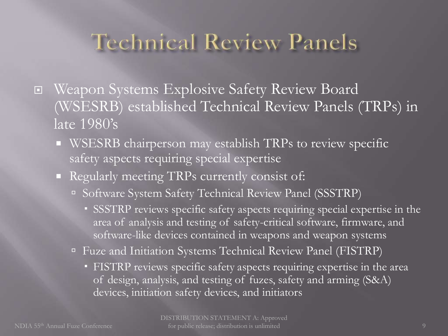### Technical Review Panels

- Weapon Systems Explosive Safety Review Board (WSESRB) established Technical Review Panels (TRPs) in late 1980's
	- WSESRB chairperson may establish TRPs to review specific safety aspects requiring special expertise
	- Regularly meeting TRPs currently consist of:
		- □ Software System Safety Technical Review Panel (SSSTRP)
			- SSSTRP reviews specific safety aspects requiring special expertise in the area of analysis and testing of safety-critical software, firmware, and software-like devices contained in weapons and weapon systems
		- Fuze and Initiation Systems Technical Review Panel (FISTRP)
			- FISTRP reviews specific safety aspects requiring expertise in the area of design, analysis, and testing of fuzes, safety and arming (S&A) devices, initiation safety devices, and initiators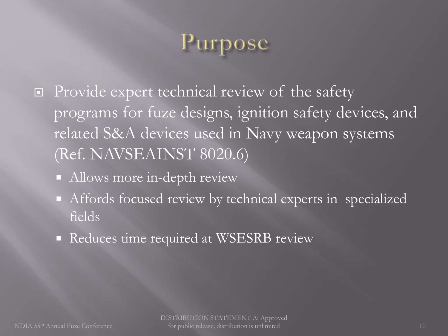## ose

- □ Provide expert technical review of the safety programs for fuze designs, ignition safety devices, and related S&A devices used in Navy weapon systems (Ref. NAVSEAINST 8020.6)
	- Allows more in-depth review
	- Affords focused review by technical experts in specialized fields
	- Reduces time required at WSESRB review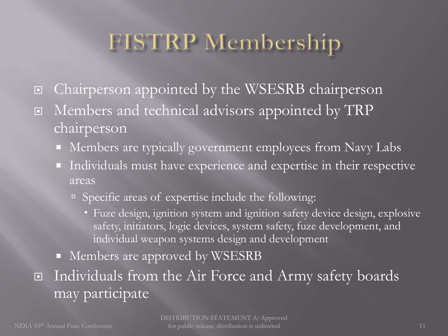## **FISTRP** Membership

- □ Chairperson appointed by the WSESRB chairperson
- I Members and technical advisors appointed by TRP chairperson
	- Members are typically government employees from Navy Labs
	- Individuals must have experience and expertise in their respective areas
		- □ Specific areas of expertise include the following:
			- Fuze design, ignition system and ignition safety device design, explosive safety, initiators, logic devices, system safety, fuze development, and individual weapon systems design and development
	- Members are approved by WSESRB
- Individuals from the Air Force and Army safety boards may participate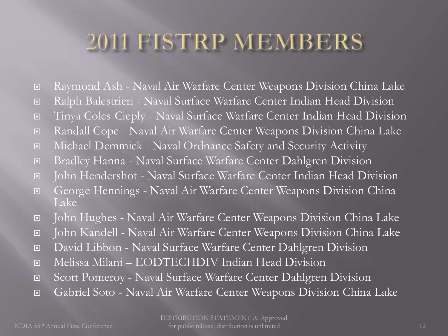### 2011 FISTRP MEMBERS

- Raymond Ash Naval Air Warfare Center Weapons Division China Lake
- Ralph Balestrieri Naval Surface Warfare Center Indian Head Division
- Tinya Coles-Cieply Naval Surface Warfare Center Indian Head Division
- Randall Cope Naval Air Warfare Center Weapons Division China Lake
- Michael Demmick Naval Ordnance Safety and Security Activity
- Bradley Hanna Naval Surface Warfare Center Dahlgren Division
- John Hendershot Naval Surface Warfare Center Indian Head Division
- George Hennings Naval Air Warfare Center Weapons Division China Lake
- John Hughes Naval Air Warfare Center Weapons Division China Lake
- John Kandell Naval Air Warfare Center Weapons Division China Lake
- David Libbon Naval Surface Warfare Center Dahlgren Division
- Melissa Milani EODTECHDIV Indian Head Division
- Scott Pomeroy Naval Surface Warfare Center Dahlgren Division
- Gabriel Soto Naval Air Warfare Center Weapons Division China Lake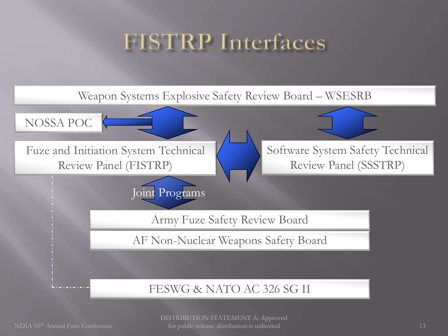### **FISTRP** Interfaces

Weapon Systems Explosive Safety Review Board – WSESRB

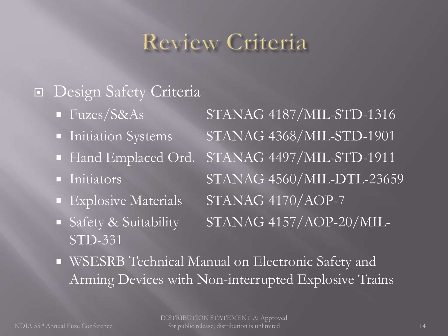### Review Criteria

### Design Safety Criteria

- 
- 
- 
- 
- 
- STD-331

Fuzes/S&As STANAG 4187/MIL-STD-1316 Initiation Systems STANAG 4368/MIL-STD-1901 Hand Emplaced Ord. STANAG 4497/MIL-STD-1911 Initiators STANAG 4560/MIL-DTL-23659 Explosive Materials STANAG 4170/AOP-7 Safety & Suitability STANAG 4157/AOP-20/MIL-

 WSESRB Technical Manual on Electronic Safety and Arming Devices with Non-interrupted Explosive Trains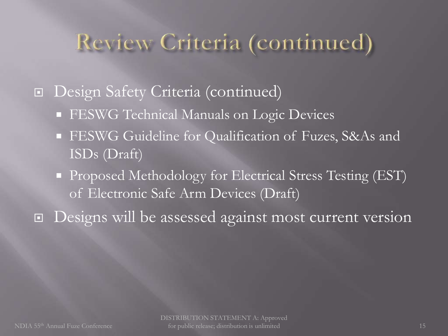### Review Criteria (continued)

**<u>n</u>** Design Safety Criteria (continued)

- **FESWG** Technical Manuals on Logic Devices
- FESWG Guideline for Qualification of Fuzes, S&As and ISDs (Draft)
- **Proposed Methodology for Electrical Stress Testing (EST)** of Electronic Safe Arm Devices (Draft)
- Designs will be assessed against most current version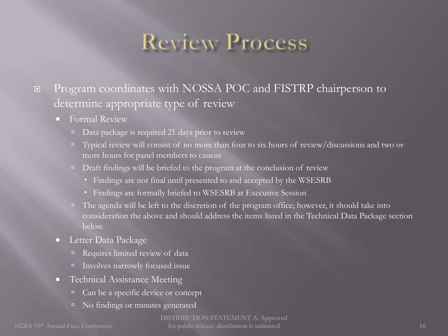### **Review Process**

#### **Program coordinates with NOSSA POC and FISTRP chairperson to** determine appropriate type of review

- **Formal Review** 
	- Data package is required 21 days prior to review
	- $\Box$  Typical review will consist of no more than four to six hours of review/discussions and two or more hours for panel members to caucus
	- $\Box$  Draft findings will be briefed to the program at the conclusion of review
		- Findings are not final until presented to and accepted by the WSESRB
		- Findings are formally briefed to WSESRB at Executive Session
	- $\Box$  The agenda will be left to the discretion of the program office; however, it should take into consideration the above and should address the items listed in the Technical Data Package section below.
- **Letter Data Package** 
	- Requires limited review of data
	- Involves narrowly focused issue
- **Technical Assistance Meeting** 
	- <sup>o</sup> Can be a specific device or concept
	- <sup>I</sup> No findings or minutes generated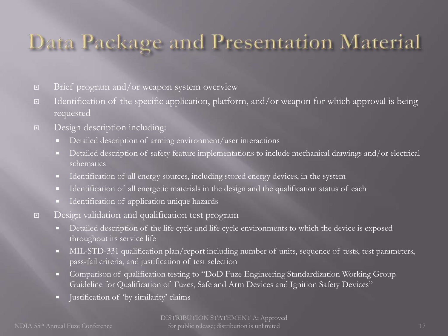### Data Package and Presentation Material

- $\Box$  Brief program and/or weapon system overview
- $\Box$  Identification of the specific application, platform, and/or weapon for which approval is being requested
- Design description including:
	- Detailed description of arming environment/user interactions
	- Detailed description of safety feature implementations to include mechanical drawings and/or electrical schematics
	- Identification of all energy sources, including stored energy devices, in the system
	- Identification of all energetic materials in the design and the qualification status of each
	- Identification of application unique hazards
- Design validation and qualification test program
	- Detailed description of the life cycle and life cycle environments to which the device is exposed throughout its service life
	- MIL-STD-331 qualification plan/report including number of units, sequence of tests, test parameters, pass-fail criteria, and justification of test selection
	- Comparison of qualification testing to "DoD Fuze Engineering Standardization Working Group Guideline for Qualification of Fuzes, Safe and Arm Devices and Ignition Safety Devices"
	- Ustification of 'by similarity' claims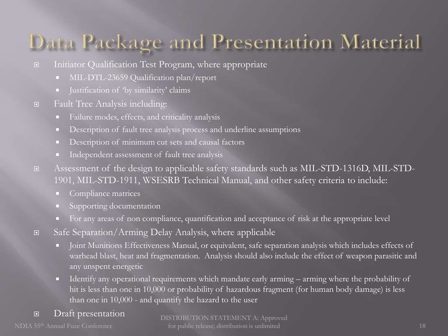### Data Package and Presentation Material

- Initiator Qualification Test Program, where appropriate
	- MIL-DTL-23659 Qualification plan/report
	- Ulstification of 'by similarity' claims
- Fault Tree Analysis including:
	- Failure modes, effects, and criticality analysis
	- Description of fault tree analysis process and underline assumptions
	- Description of minimum cut sets and causal factors
	- Independent assessment of fault tree analysis
- Assessment of the design to applicable safety standards such as MIL-STD-1316D, MIL-STD-1901, MIL-STD-1911, WSESRB Technical Manual, and other safety criteria to include:
	- Compliance matrices
	- Supporting documentation
	- For any areas of non compliance, quantification and acceptance of risk at the appropriate level
- Safe Separation/Arming Delay Analysis, where applicable
	- Ioint Munitions Effectiveness Manual, or equivalent, safe separation analysis which includes effects of warhead blast, heat and fragmentation. Analysis should also include the effect of weapon parasitic and any unspent energetic
	- I dentify any operational requirements which mandate early arming arming where the probability of hit is less than one in 10,000 or probability of hazardous fragment (for human body damage) is less than one in 10,000 - and quantify the hazard to the user
- Draft presentation

NDIA 55th Annual Fuze Conference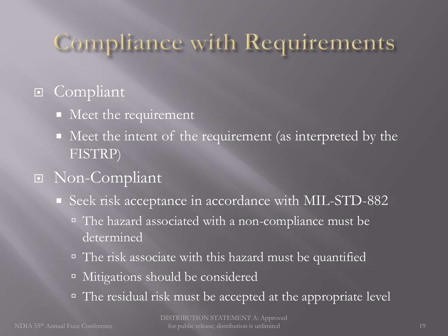## Compliance with Requirements

### **E** Compliant

- Meet the requirement
- Meet the intent of the requirement (as interpreted by the FISTRP)

### Non-Compliant

- Seek risk acceptance in accordance with MIL-STD-882
	- The hazard associated with a non-compliance must be determined
	- □ The risk associate with this hazard must be quantified
	- <sup>Indept</sup> Mitigations should be considered
	- □ The residual risk must be accepted at the appropriate level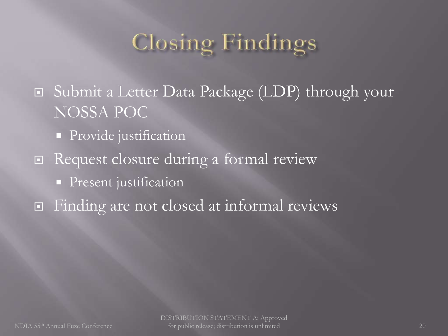## Closing Findings

 Submit a Letter Data Package (LDP) through your NOSSA POC

- **Provide** justification
- □ Request closure during a formal review
	- **Present** justification
- □ Finding are not closed at informal reviews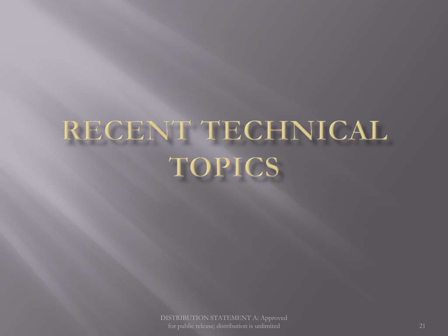# RECENT TECHNICAL **TOPICS**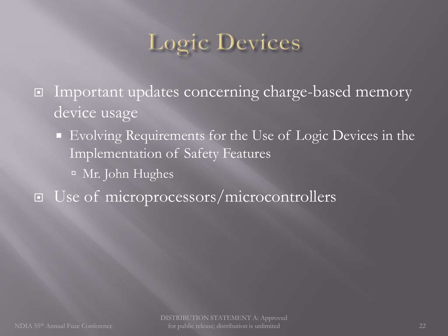## **Logic Devices**

- □ Important updates concerning charge-based memory device usage
	- Evolving Requirements for the Use of Logic Devices in the Implementation of Safety Features
		- <sup>In</sup> Mr. John Hughes
- □ Use of microprocessors/microcontrollers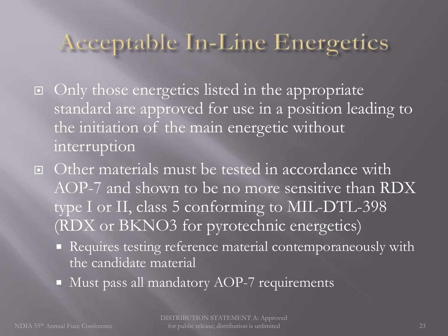### Acceptable In-Line Energetics

- $\Box$  Only those energetics listed in the appropriate standard are approved for use in a position leading to the initiation of the main energetic without interruption
- Other materials must be tested in accordance with AOP-7 and shown to be no more sensitive than RDX type I or II, class 5 conforming to MIL-DTL-398 (RDX or BKNO3 for pyrotechnic energetics)
	- Requires testing reference material contemporaneously with the candidate material
	- $\blacksquare$  Must pass all mandatory AOP-7 requirements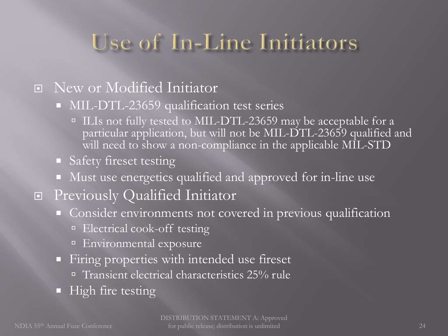### Use of In-Line Initiators

#### New or Modified Initiator

- **MIL-DTL-23659** qualification test series
	- $\blacksquare$  ILIs not fully tested to MIL-DTL-23659 may be acceptable for a particular application, but will not be MIL-DTL-23659 qualified and will need to show a non-compliance in the applicable MIL-STD
- **Safety fireset testing**
- Must use energetics qualified and approved for in-line use
- Previously Qualified Initiator
	- Consider environments not covered in previous qualification
		- **Electrical cook-off testing**
		- <sup>E</sup> Environmental exposure
	- Firing properties with intended use fireset
		- <sup>I</sup> Transient electrical characteristics 25% rule
	- **High fire testing**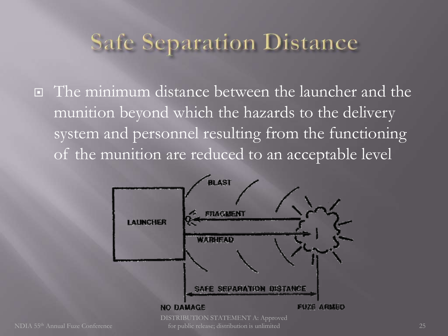### **Safe Separation Distance**

□ The minimum distance between the launcher and the munition beyond which the hazards to the delivery system and personnel resulting from the functioning of the munition are reduced to an acceptable level

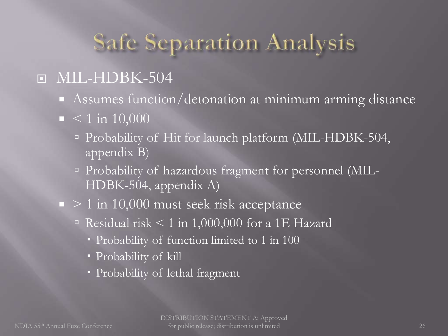### **Safe Separation Analysis**

### D MIL-HDBK-504

- Assumes function/detonation at minimum arming distance
- $\blacksquare$  < 1 in 10,000
	- <sup>In</sup> Probability of Hit for launch platform (MIL-HDBK-504, appendix B)
	- <sup>In</sup> Probability of hazardous fragment for personnel (MIL-HDBK-504, appendix A)
- $\blacksquare$  > 1 in 10,000 must seek risk acceptance
	- Residual risk < 1 in 1,000,000 for a 1E Hazard
		- Probability of function limited to 1 in 100
		- Probability of kill
		- Probability of lethal fragment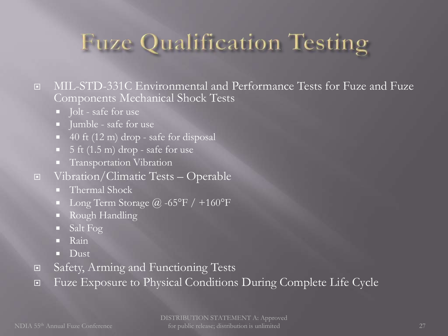## Fuze Qualification Testing

 MIL-STD-331C Environmental and Performance Tests for Fuze and Fuze Components Mechanical Shock Tests

- **Jolt** safe for use
- **I** Jumble safe for use
- $\blacksquare$  40 ft (12 m) drop safe for disposal
- $\blacksquare$  5 ft (1.5 m) drop safe for use
- **Transportation Vibration**
- Vibration/Climatic Tests Operable
	- Thermal Shock
	- Long Term Storage  $\omega$  -65°F / +160°F
	- **Rough Handling**
	- Salt Fog
	- Rain
	- **Dust**
- Safety, Arming and Functioning Tests
- Fuze Exposure to Physical Conditions During Complete Life Cycle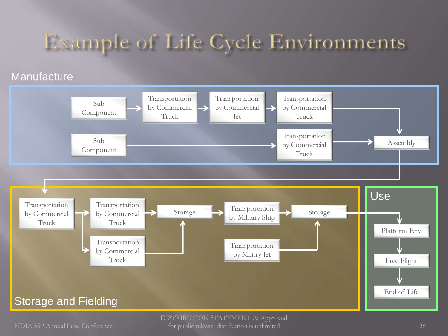### **Example of Life Cycle Environments**

#### **Manufacture**



NDIA 55th Annual Fuze Conference 28 for public release; distribution is unlimited DISTRIBUTION STATEMENT A: Approved